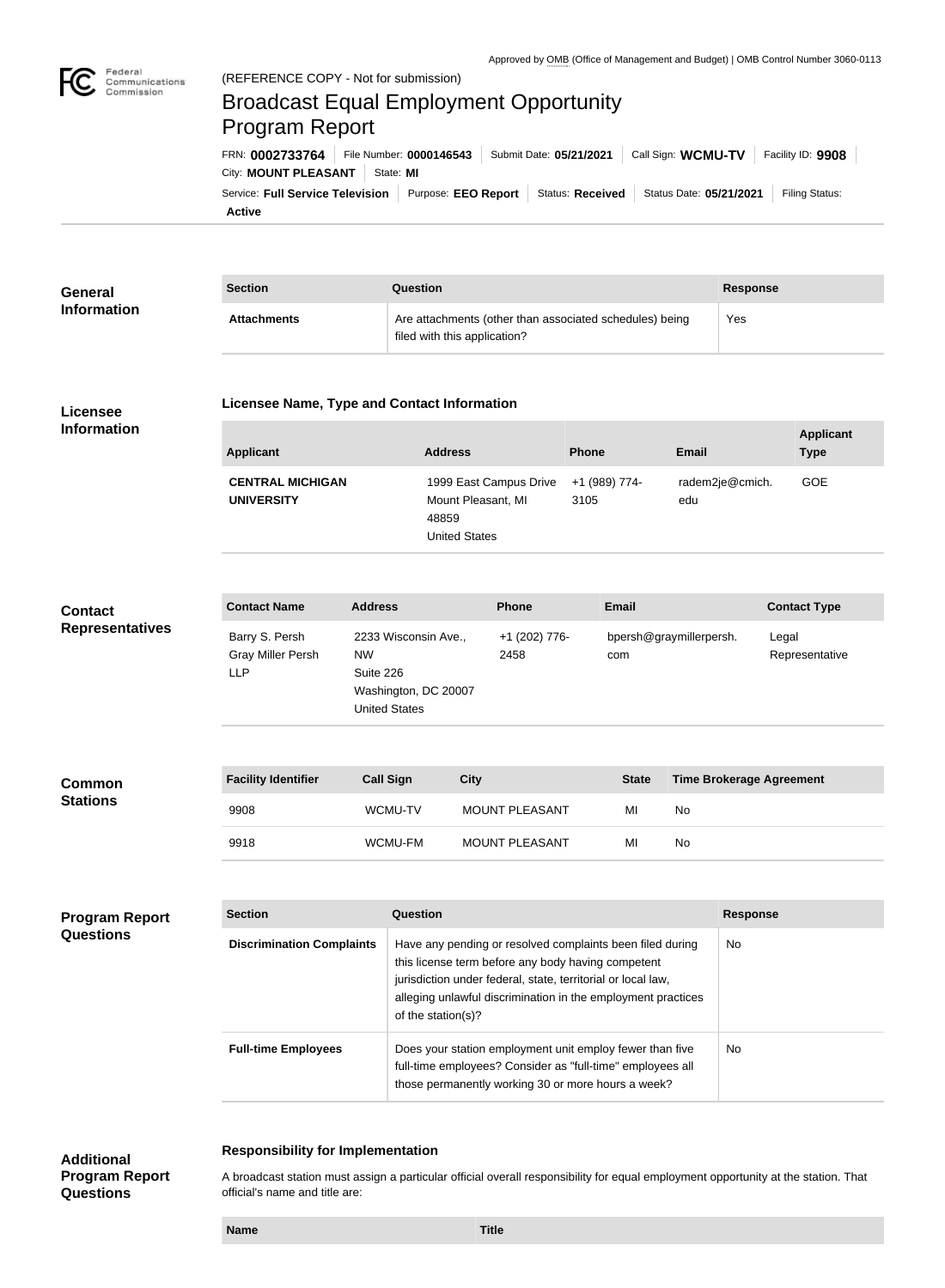

**Applicant** 

# (REFERENCE COPY - Not for submission) Broadcast Equal Employment Opportunity Program Report

**Active** Service: Full Service Television | Purpose: EEO Report | Status: Received | Status Date: 05/21/2021 | Filing Status: City: **MOUNT PLEASANT** State: MI FRN: **0002733764** File Number: **0000146543** Submit Date: **05/21/2021** Call Sign: **WCMU-TV** Facility ID: **9908**

| <b>Section</b><br>General |                    | Question                                                                                | Response |
|---------------------------|--------------------|-----------------------------------------------------------------------------------------|----------|
| <b>Information</b>        | <b>Attachments</b> | Are attachments (other than associated schedules) being<br>filed with this application? | Yes      |

## **Licensee Information**

#### **Licensee Name, Type and Contact Information**

| Applicant                                    | <b>Address</b>                                                                | <b>Phone</b>          | <b>Email</b>           | Applicant<br><b>Type</b> |
|----------------------------------------------|-------------------------------------------------------------------------------|-----------------------|------------------------|--------------------------|
| <b>CENTRAL MICHIGAN</b><br><b>UNIVERSITY</b> | 1999 East Campus Drive<br>Mount Pleasant, MI<br>48859<br><b>United States</b> | +1 (989) 774-<br>3105 | radem2je@cmich.<br>edu | GOE                      |

| <b>Contact</b>         | <b>Contact Name</b>                               | <b>Address</b>                                                                          | <b>Phone</b>          | <b>Email</b>                   | <b>Contact Type</b>     |
|------------------------|---------------------------------------------------|-----------------------------------------------------------------------------------------|-----------------------|--------------------------------|-------------------------|
| <b>Representatives</b> | Barry S. Persh<br>Gray Miller Persh<br><b>LLP</b> | 2233 Wisconsin Ave.,<br>NW<br>Suite 226<br>Washington, DC 20007<br><b>United States</b> | +1 (202) 776-<br>2458 | bpersh@graymillerpersh.<br>com | Legal<br>Representative |

| <b>Common</b>   | <b>Facility Identifier</b> | <b>Call Sign</b> | <b>City</b>           | <b>State</b> | <b>Time Brokerage Agreement</b> |
|-----------------|----------------------------|------------------|-----------------------|--------------|---------------------------------|
| <b>Stations</b> | 9908                       | <b>WCMU-TV</b>   | <b>MOUNT PLEASANT</b> | MI           | No                              |
|                 | 9918                       | WCMU-FM          | <b>MOUNT PLEASANT</b> | MI           | No                              |

| <b>Program Report</b><br><b>Questions</b> | <b>Section</b>                   | <b>Question</b>                                                                                                                                                                                                                                                       | <b>Response</b> |
|-------------------------------------------|----------------------------------|-----------------------------------------------------------------------------------------------------------------------------------------------------------------------------------------------------------------------------------------------------------------------|-----------------|
|                                           | <b>Discrimination Complaints</b> | Have any pending or resolved complaints been filed during<br>this license term before any body having competent<br>jurisdiction under federal, state, territorial or local law,<br>alleging unlawful discrimination in the employment practices<br>of the station(s)? | No.             |
|                                           | <b>Full-time Employees</b>       | Does your station employment unit employ fewer than five<br>full-time employees? Consider as "full-time" employees all<br>those permanently working 30 or more hours a week?                                                                                          | No.             |

# **Responsibility for Implementation**

**Additional Program Report Questions**

A broadcast station must assign a particular official overall responsibility for equal employment opportunity at the station. That official's name and title are: